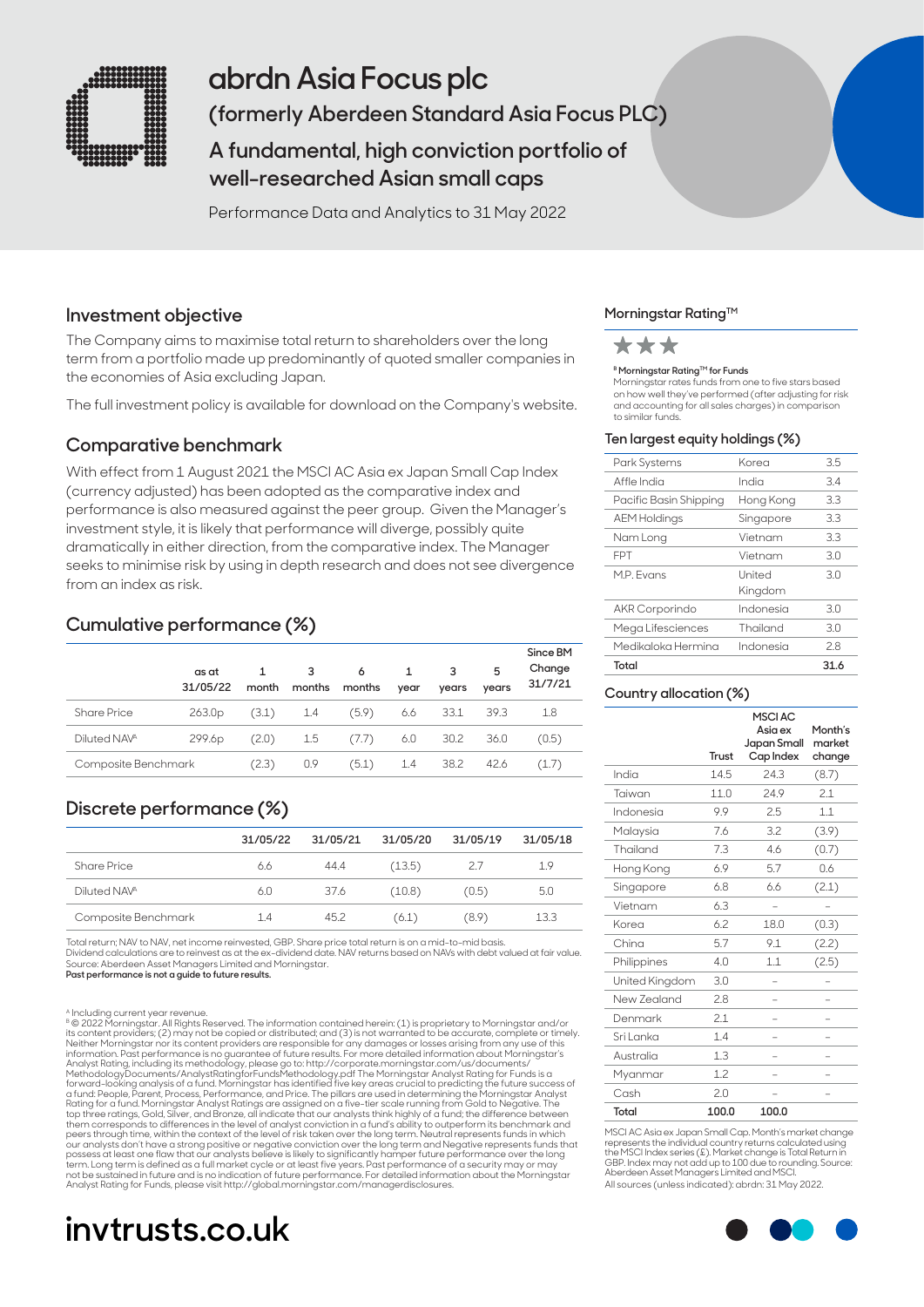

# **abrdn Asia Focus plc**

**(formerly Aberdeen Standard Asia Focus PLC)** 

# **A fundamental, high conviction portfolio of well-researched Asian small caps**

Performance Data and Analytics to 31 May 2022

### **Investment objective**

The Company aims to maximise total return to shareholders over the long term from a portfolio made up predominantly of quoted smaller companies in the economies of Asia excluding Japan.

The full investment policy is available for download on the Company's website.

### **Comparative benchmark**

With effect from 1 August 2021 the MSCI AC Asia ex Japan Small Cap Index (currency adjusted) has been adopted as the comparative index and performance is also measured against the peer group. Given the Manager's investment style, it is likely that performance will diverge, possibly quite dramatically in either direction, from the comparative index. The Manager seeks to minimise risk by using in depth research and does not see divergence from an index as risk.

# **Cumulative performance (%)**

|                          | as at<br>31/05/22  | month | 3<br>months | 6<br>months | 1<br>year | 3<br>vears | 5<br>vears | Since BM<br>Change<br>31/7/21 |
|--------------------------|--------------------|-------|-------------|-------------|-----------|------------|------------|-------------------------------|
| <b>Share Price</b>       | 263.0 <sub>p</sub> | (3.1) | 1.4         | (5.9)       | 6.6       | 33.1       | 39.3       | -1.8                          |
| Diluted NAV <sup>A</sup> | 299.6p             | (2.0) | 1.5         | (7.7)       | 6.0       | 30.2       | 36.0       | (0.5)                         |
| Composite Benchmark      |                    | (2.3) | 0.9         | (5.1)       | 1.4       | 38.2       | 42.6       | (1.7)                         |

# **Discrete performance (%)**

|                          | 31/05/22 | 31/05/21 | 31/05/20 | 31/05/19 | 31/05/18 |
|--------------------------|----------|----------|----------|----------|----------|
| <b>Share Price</b>       | 6.6      | 44.4     | (13.5)   | 2.1      | 1.9      |
| Diluted NAV <sup>A</sup> | 6.0      | 37.6     | (10.8)   | (0.5)    | 5.0      |
| Composite Benchmark      | 1.4      | 45.2     | (6.1)    | (8.9)    | 13.3     |

Total return; NAV to NAV, net income reinvested, GBP. Share price total return is on a mid-to-mid basis. Dividend calculations are to reinvest as at the ex-dividend date. NAV returns based on NAVs with debt valued at fair value. Source: Aberdeen Asset Managers Limited and Morningstar.

**Past performance is not a guide to future results.**

A Including current year revenue. B © 2022 Morningstar. All Rights Reserved. The information contained herein: (1) is proprietary to Morningstar and/or its content providers; (2) may not be copied or distributed; and (3) is not warranted to be accurate, complete or timely.<br>Neither Morningstar nor its content providers are responsible for any damages or losses arising from Rating for a fund. Morningstar Analyst Ratings are assigned on a five-tier scale running from Gold to Negative. The<br>top three ratings, Gold, Silver, and Bronze, all indicate that our analysts think highly of a fund; the di term. Long term is defined as a full market cycle or at least five years. Past performance of a security may or may<br>not be sustained in future and is no indication of future performance. For detailed information about the

# **invtrusts.co.uk**

### **Morningstar Rating™**



#### **B Morningstar Rating™ for Funds**

Morningstar rates funds from one to five stars based on how well they've performed (after adjusting for risk and accounting for all sales charges) in comparison to similar funds.

### **Ten largest equity holdings (%)**

| Indonesia | 28     |
|-----------|--------|
|           |        |
| Thailand  | 3.0    |
| Indonesia | 3.0    |
| Kingdom   | 3.0    |
| Vietnam   | 3.0    |
| Vietnam   | 3.3    |
| Singapore | 3.3    |
| Hong Kong | 3.3    |
| India     | 3.4    |
| Korea     | 3.5    |
|           | United |

### **Country allocation (%)**

|                | Trust | <b>MSCIAC</b><br>Asia ex<br>Japan Small<br>Cap Index | Month's<br>market<br>change |
|----------------|-------|------------------------------------------------------|-----------------------------|
| India          | 14.5  | 24.3                                                 | (8.7)                       |
| Taiwan         | 11.0  | 24.9                                                 | 2.1                         |
| Indonesia      | 9.9   | 2.5                                                  | 1.1                         |
| Malaysia       | 7.6   | 3.2                                                  | (3.9)                       |
| Thailand       | 7.3   | 4.6                                                  | (0.7)                       |
| Hong Kong      | 6.9   | 5.7                                                  | 0.6                         |
| Singapore      | 6.8   | 6.6                                                  | (2.1)                       |
| Vietnam        | 6.3   |                                                      |                             |
| Korea          | 6.2   | 18.0                                                 | (0.3)                       |
| China          | 5.7   | 9.1                                                  | (2.2)                       |
| Philippines    | 4.0   | 1.1                                                  | (2.5)                       |
| United Kingdom | 3.0   |                                                      |                             |
| New Zealand    | 2.8   |                                                      |                             |
| Denmark        | 2.1   |                                                      |                             |
| Sri Lanka      | 1.4   |                                                      |                             |
| Australia      | 1.3   |                                                      |                             |
| Myanmar        | 1.2   |                                                      |                             |
| Cash           | 2.0   |                                                      |                             |
| Total          | 100.0 | 100.0                                                |                             |

MSCI AC Asia ex Japan Small Cap. Month's market change represents the individual country returns calculated using<br>the MSCI Index series (£). Market change is Total Return in<br>GBP. Index may not add up to 100 due to rounding. Source:<br>Aberdeen Asset Managers Limited and MSCI. All sources (unless indicated): abrdn: 31 May 2022.

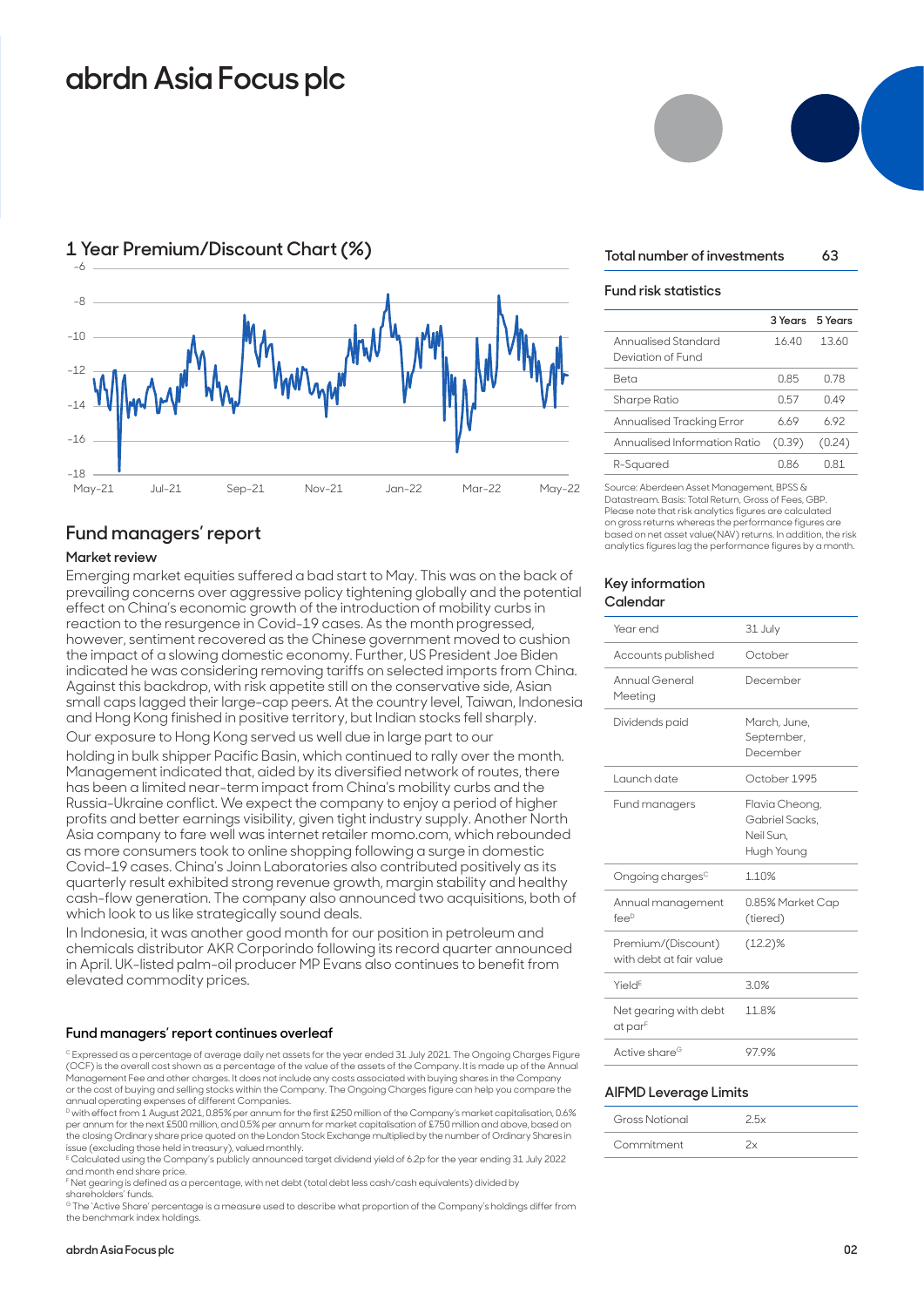# **abrdn Asia Focus plc**



## **1 Year Premium/Discount Chart (%)**

# **Fund managers' report**

### **Market review**

Emerging market equities suffered a bad start to May. This was on the back of prevailing concerns over aggressive policy tightening globally and the potential effect on China's economic growth of the introduction of mobility curbs in reaction to the resurgence in Covid-19 cases. As the month progressed, however, sentiment recovered as the Chinese government moved to cushion the impact of a slowing domestic economy. Further, US President Joe Biden indicated he was considering removing tariffs on selected imports from China. Against this backdrop, with risk appetite still on the conservative side, Asian small caps lagged their large-cap peers. At the country level, Taiwan, Indonesia and Hong Kong finished in positive territory, but Indian stocks fell sharply.

Our exposure to Hong Kong served us well due in large part to our holding in bulk shipper Pacific Basin, which continued to rally over the month. Management indicated that, aided by its diversified network of routes, there has been a limited near-term impact from China's mobility curbs and the Russia-Ukraine conflict. We expect the company to enjoy a period of higher profits and better earnings visibility, given tight industry supply. Another North Asia company to fare well was internet retailer momo.com, which rebounded as more consumers took to online shopping following a surge in domestic Covid-19 cases. China's Joinn Laboratories also contributed positively as its quarterly result exhibited strong revenue growth, margin stability and healthy cash-flow generation. The company also announced two acquisitions, both of which look to us like strategically sound deals.

In Indonesia, it was another good month for our position in petroleum and chemicals distributor AKR Corporindo following its record quarter announced in April. UK-listed palm-oil producer MP Evans also continues to benefit from elevated commodity prices.

#### **Fund managers' report continues overleaf**

C Expressed as a percentage of average daily net assets for the year ended 31 July 2021. The Ongoing Charges Figure (OCF) is the overall cost shown as a percentage of the value of the assets of the Company. It is made up of the Annual Management Fee and other charges. It does not include any costs associated with buying shares in the Company or the cost of buying and selling stocks within the Company. The Ongoing Charges figure can help you compare the annual operating expenses of different Companies.

D with effect from 1 August 2021, 0.85% per annum for the first £250 million of the Company's market capitalisation, 0.6% per annum for the next £500 million, and 0.5% per annum for market capitalisation of £750 million and above, based on the closing Ordinary share price quoted on the London Stock Exchange multiplied by the number of Ordinary Shares in issue (excluding those held in treasury), valued monthly.

E Calculated using the Company's publicly announced target dividend yield of 6.2p for the year ending 31 July 2022 and month end share price.

F Net gearing is defined as a percentage, with net debt (total debt less cash/cash equivalents) divided by shareholders' funds.

G The 'Active Share' percentage is a measure used to describe what proportion of the Company's holdings differ from the benchmark index holdings.

### **Total number of investments 63**

### **Fund risk statistics**

|                                          |        | 3 Years 5 Years |
|------------------------------------------|--------|-----------------|
| Annualised Standard<br>Deviation of Fund | 1640   | 1360            |
| Reta                                     | 0.85   | በ 78            |
| Sharpe Ratio                             | በ57    | በ 49            |
| Annualised Tracking Error                | 669    | 692             |
| Annualised Information Ratio             | (0.39) | (0.24)          |
| R-Squared                                | N 86   | N 81            |

Source: Aberdeen Asset Management, BPSS & Datastream. Basis: Total Return, Gross of Fees, GBP. Please note that risk analytics figures are calculated on gross returns whereas the performance figures are based on net asset value(NAV) returns. In addition, the risk analytics figures lag the performance figures by a month.

#### **Key information Calendar**

| Year end                                      | 31 July                                                     |
|-----------------------------------------------|-------------------------------------------------------------|
| Accounts published                            | October                                                     |
| Annual General<br>Meeting                     | December                                                    |
| Dividends paid                                | March, June,<br>September,<br>December                      |
| Launch date                                   | October 1995                                                |
| Fund managers                                 | Flavia Cheong,<br>Gabriel Sacks.<br>Neil Sun.<br>Hugh Young |
| Ongoing charges <sup>c</sup>                  | 1.10%                                                       |
| Annual management<br>$f \in \mathbb{R}^D$     | 0.85% Market Cap<br>(tiered)                                |
| Premium/(Discount)<br>with debt at fair value | $(12.2)\%$                                                  |
| Yield <sup>E</sup>                            | 3.0%                                                        |
| Net gearing with debt<br>at par <sup>F</sup>  | 11.8%                                                       |
| Active share <sup>G</sup>                     | 979%                                                        |

### **AIFMD Leverage Limits**

| Gross Notional | ノらメー |
|----------------|------|
| Commitment     |      |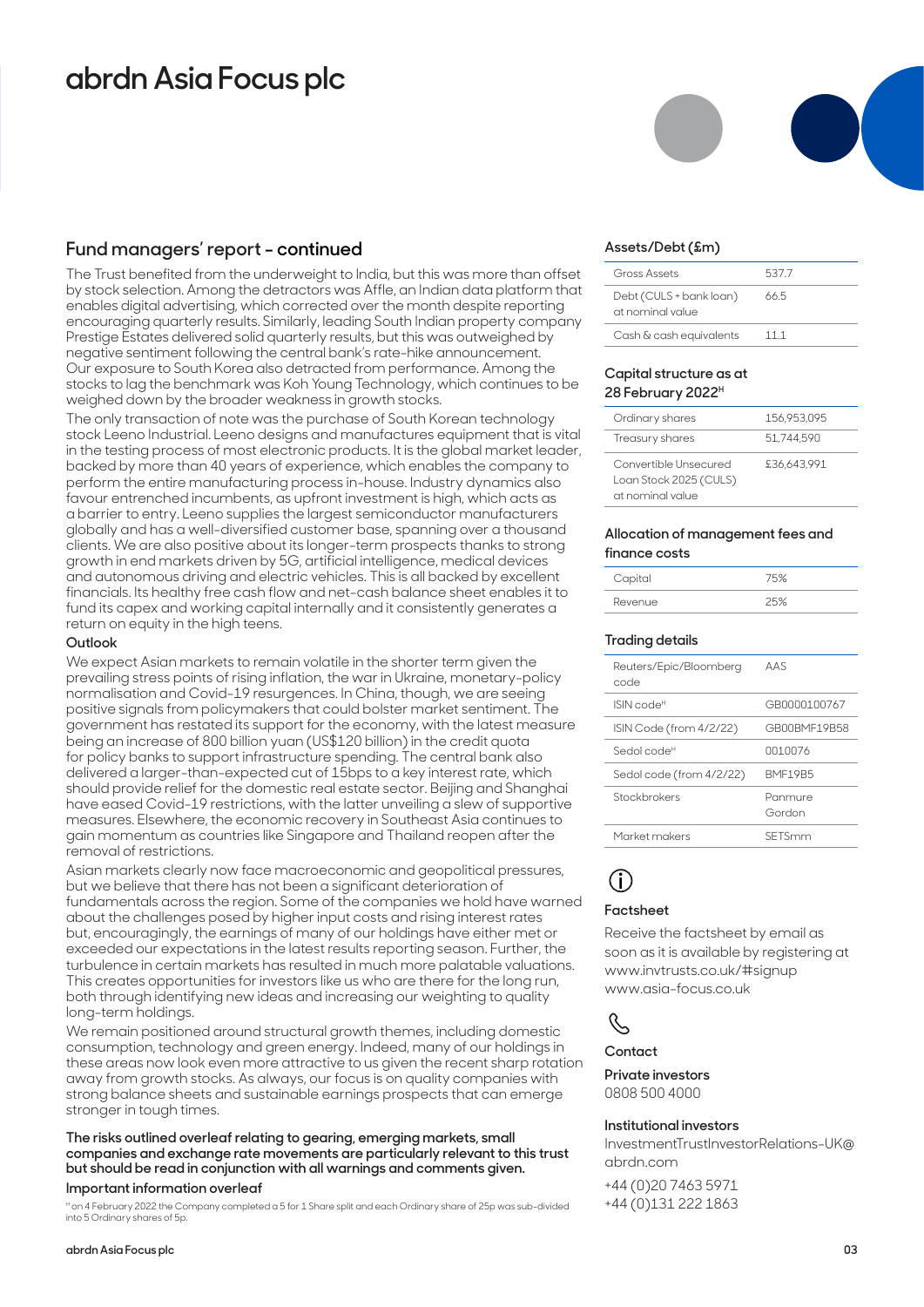# **abrdn Asia Focus plc**

### **Fund managers' report - continued**

The Trust benefited from the underweight to India, but this was more than offset by stock selection. Among the detractors was Affle, an Indian data platform that enables digital advertising, which corrected over the month despite reporting encouraging quarterly results. Similarly, leading South Indian property company Prestige Estates delivered solid quarterly results, but this was outweighed by negative sentiment following the central bank's rate-hike announcement. Our exposure to South Korea also detracted from performance. Among the stocks to lag the benchmark was Koh Young Technology, which continues to be weighed down by the broader weakness in growth stocks.

The only transaction of note was the purchase of South Korean technology stock Leeno Industrial. Leeno designs and manufactures equipment that is vital in the testing process of most electronic products. It is the global market leader, backed by more than 40 years of experience, which enables the company to perform the entire manufacturing process in-house. Industry dynamics also favour entrenched incumbents, as upfront investment is high, which acts as a barrier to entry. Leeno supplies the largest semiconductor manufacturers globally and has a well-diversified customer base, spanning over a thousand clients. We are also positive about its longer-term prospects thanks to strong growth in end markets driven by 5G, artificial intelligence, medical devices and autonomous driving and electric vehicles. This is all backed by excellent financials. Its healthy free cash flow and net-cash balance sheet enables it to fund its capex and working capital internally and it consistently generates a return on equity in the high teens.

### **Outlook**

We expect Asian markets to remain volatile in the shorter term given the prevailing stress points of rising inflation, the war in Ukraine, monetary-policy normalisation and Covid-19 resurgences. In China, though, we are seeing positive signals from policymakers that could bolster market sentiment. The government has restated its support for the economy, with the latest measure being an increase of 800 billion yuan (US\$120 billion) in the credit quota for policy banks to support infrastructure spending. The central bank also delivered a larger-than-expected cut of 15bps to a key interest rate, which should provide relief for the domestic real estate sector. Beijing and Shanghai have eased Covid-19 restrictions, with the latter unveiling a slew of supportive measures. Elsewhere, the economic recovery in Southeast Asia continues to gain momentum as countries like Singapore and Thailand reopen after the removal of restrictions.

Asian markets clearly now face macroeconomic and geopolitical pressures, but we believe that there has not been a significant deterioration of fundamentals across the region. Some of the companies we hold have warned about the challenges posed by higher input costs and rising interest rates but, encouragingly, the earnings of many of our holdings have either met or exceeded our expectations in the latest results reporting season. Further, the turbulence in certain markets has resulted in much more palatable valuations. This creates opportunities for investors like us who are there for the long run, both through identifying new ideas and increasing our weighting to quality long-term holdings.

We remain positioned around structural growth themes, including domestic consumption, technology and green energy. Indeed, many of our holdings in these areas now look even more attractive to us given the recent sharp rotation away from growth stocks. As always, our focus is on quality companies with strong balance sheets and sustainable earnings prospects that can emerge stronger in tough times.

### **The risks outlined overleaf relating to gearing, emerging markets, small companies and exchange rate movements are particularly relevant to this trust but should be read in conjunction with all warnings and comments given.**

### **Important information overleaf**

H on 4 February 2022 the Company completed a 5 for 1 Share split and each Ordinary share of 25p was sub-divided into 5 Ordinary shares of 5p.

### **Assets/Debt (£m)**

| Gross Assets                                | 5377 |
|---------------------------------------------|------|
| Debt (CULS + bank loan)<br>at nominal value | 66.5 |
| Cash & cash equivalents                     | 111  |

### **Capital structure as at 28 February 2022H**

| Ordinary shares                                                     | 156.953.095 |
|---------------------------------------------------------------------|-------------|
| Treasury shares                                                     | 51.744.590  |
| Convertible Unsecured<br>Loan Stock 2025 (CULS)<br>at nominal value | £36.643.991 |

### **Allocation of management fees and finance costs**

| Capital | 75%     |
|---------|---------|
| Revenue | ಾದ್ದಲ್ಲ |

### **Trading details**

| Reuters/Epic/Bloomberg<br>code | AAS               |
|--------------------------------|-------------------|
| ISIN code <sup>h</sup>         | GR0000100767      |
| ISIN Code (from 4/2/22)        | GROOBME19B58      |
| Sedol code <sup>H</sup>        | 0010076           |
| Sedol code (from 4/2/22)       | <b>RMF19R5</b>    |
| Stockbrokers                   | Panmure<br>Gordon |
| Market makers                  | SETSmm            |
|                                |                   |

# **i**

### **Factsheet**

Receive the factsheet by email as soon as it is available by registering at www.invtrusts.co.uk/#signup www.asia-focus.co.uk

# $\mathcal{S}$

**Contact**

**Private investors**  0808 500 4000

### **Institutional investors**

InvestmentTrustInvestorRelations-UK@ abrdn.com

+44 (0)20 7463 5971 +44 (0)131 222 1863